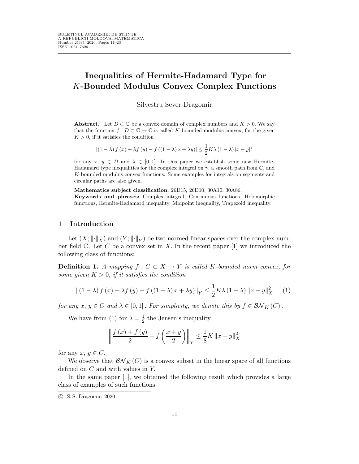# Inequalities of Hermite-Hadamard Type for K-Bounded Modulus Convex Complex Functions

Silvestru Sever Dragomir

Abstract. Let  $D \subset \mathbb{C}$  be a convex domain of complex numbers and  $K > 0$ . We say that the function  $f: D \subset \mathbb{C} \to \mathbb{C}$  is called K-bounded modulus convex, for the given  $K > 0$ , if it satisfies the condition

$$
|(1 - \lambda) f(x) + \lambda f(y) - f((1 - \lambda)x + \lambda y)| \le \frac{1}{2} K \lambda (1 - \lambda) |x - y|^2
$$

for any  $x, y \in D$  and  $\lambda \in [0, 1]$ . In this paper we establish some new Hermite-Hadamard type inequalities for the complex integral on  $\gamma$ , a smooth path from  $\mathbb{C}$ , and K-bounded modulus convex functions. Some examples for integrals on segments and circular paths are also given.

Mathematics subject classification: 26D15, 26D10, 30A10, 30A86. Keywords and phrases: Complex integral, Continuous functions, Holomorphic functions, Hermite-Hadamard inequality, Midpoint inequality, Trapezoid inequality.

#### 1 Introduction

Let  $(X; \| \cdot \|_X)$  and  $(Y; \| \cdot \|_Y)$  be two normed linear spaces over the complex number field  $\mathbb C$ . Let C be a convex set in X. In the recent paper [1] we introduced the following class of functions:

**Definition 1.** A mapping  $f : C \subset X \to Y$  is called K-bounded norm convex, for some given  $K > 0$ , if it satisfies the condition

$$
\left\| \left( 1 - \lambda \right) f(x) + \lambda f(y) - f\left( \left( 1 - \lambda \right) x + \lambda y \right) \right\|_Y \le \frac{1}{2} K \lambda \left( 1 - \lambda \right) \left\| x - y \right\|_X^2 \tag{1}
$$

for any  $x, y \in C$  and  $\lambda \in [0,1]$ . For simplicity, we denote this by  $f \in \mathcal{BN}_K(C)$ .

We have from (1) for  $\lambda = \frac{1}{2}$  the Jensen's inequality

$$
\left\| \frac{f(x) + f(y)}{2} - f\left(\frac{x+y}{2}\right) \right\|_{Y} \le \frac{1}{8} K \left\| x - y \right\|_{X}^{2}
$$

for any  $x, y \in C$ .

We observe that  $\mathcal{BN}_K(C)$  is a convex subset in the linear space of all functions defined on C and with values in Y.

In the same paper [1], we obtained the following result which provides a large class of examples of such functions.

c S. S. Dragomir, 2020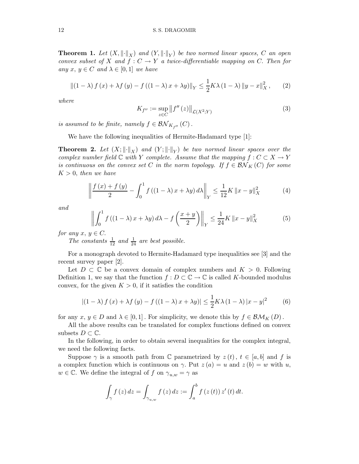**Theorem 1.** Let  $(X, \|\cdot\|_X)$  and  $(Y, \|\cdot\|_Y)$  be two normed linear spaces, C an open convex subset of X and  $f: C \to Y$  a twice-differentiable mapping on C. Then for any  $x, y \in C$  and  $\lambda \in [0,1]$  we have

$$
\left\|\left(1-\lambda\right)f\left(x\right)+\lambda f\left(y\right)-f\left(\left(1-\lambda\right)x+\lambda y\right)\right\|_{Y} \leq \frac{1}{2}K\lambda\left(1-\lambda\right)\left\|y-x\right\|_{X}^{2},\qquad(2)
$$

where

$$
K_{f''} := \sup_{z \in C} \|f''(z)\|_{\mathcal{L}(X^2;Y)}\tag{3}
$$

is assumed to be finite, namely  $f \in \mathcal{BN}_{K_{f''}}(C)$ .

We have the following inequalities of Hermite-Hadamard type [1]:

**Theorem 2.** Let  $(X; \|\cdot\|_X)$  and  $(Y; \|\cdot\|_Y)$  be two normed linear spaces over the complex number field  $\mathbb C$  with Y complete. Assume that the mapping  $f : C \subset X \to Y$ is continuous on the convex set C in the norm topology. If  $f \in \mathcal{BN}_K(C)$  for some  $K > 0$ , then we have

$$
\left\| \frac{f(x) + f(y)}{2} - \int_0^1 f((1 - \lambda)x + \lambda y) d\lambda \right\|_Y \le \frac{1}{12} K \left\| x - y \right\|_X^2 \tag{4}
$$

and

$$
\left\| \int_0^1 f\left( (1 - \lambda)x + \lambda y \right) d\lambda - f\left( \frac{x + y}{2} \right) \right\|_Y \le \frac{1}{24} K \left\| x - y \right\|_X^2 \tag{5}
$$

for any  $x, y \in C$ .

The constants  $\frac{1}{12}$  and  $\frac{1}{24}$  are best possible.

For a monograph devoted to Hermite-Hadamard type inequalities see [3] and the recent survey paper [2].

Let  $D \subset \mathbb{C}$  be a convex domain of complex numbers and  $K > 0$ . Following Definition 1, we say that the function  $f: D \subset \mathbb{C} \to \mathbb{C}$  is called K-bounded modulus convex, for the given  $K > 0$ , if it satisfies the condition

$$
|(1 - \lambda) f(x) + \lambda f(y) - f((1 - \lambda)x + \lambda y)| \le \frac{1}{2} K \lambda (1 - \lambda) |x - y|^2
$$
 (6)

for any  $x, y \in D$  and  $\lambda \in [0, 1]$ . For simplicity, we denote this by  $f \in \mathcal{BM}_K(D)$ .

All the above results can be translated for complex functions defined on convex subsets  $D \subset \mathbb{C}$ .

In the following, in order to obtain several inequalities for the complex integral, we need the following facts.

Suppose  $\gamma$  is a smooth path from C parametrized by  $z(t)$ ,  $t \in [a, b]$  and f is a complex function which is continuous on  $\gamma$ . Put  $z(a) = u$  and  $z(b) = w$  with u,  $w \in \mathbb{C}$ . We define the integral of f on  $\gamma_{u,w} = \gamma$  as

$$
\int_{\gamma} f(z) dz = \int_{\gamma_{u,w}} f(z) dz := \int_{a}^{b} f(z(t)) z'(t) dt.
$$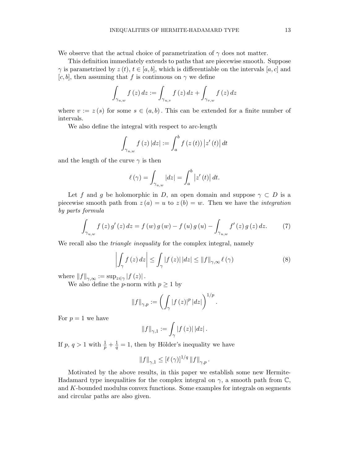We observe that the actual choice of parametrization of  $\gamma$  does not matter.

This definition immediately extends to paths that are piecewise smooth. Suppose  $\gamma$  is parametrized by  $z(t), t \in [a, b]$ , which is differentiable on the intervals  $[a, c]$  and [c, b], then assuming that f is continuous on  $\gamma$  we define

$$
\int_{\gamma_{u,w}} f(z) dz := \int_{\gamma_{u,v}} f(z) dz + \int_{\gamma_{v,w}} f(z) dz
$$

where  $v := z(s)$  for some  $s \in (a, b)$ . This can be extended for a finite number of intervals.

We also define the integral with respect to arc-length

$$
\int_{\gamma_{u,w}} f(z) |dz| := \int_a^b f(z(t)) |z'(t)| dt
$$

and the length of the curve  $\gamma$  is then

$$
\ell(\gamma) = \int_{\gamma_{u,w}} |dz| = \int_a^b |z'(t)| dt.
$$

Let f and g be holomorphic in D, an open domain and suppose  $\gamma \subset D$  is a piecewise smooth path from  $z(a) = u$  to  $z(b) = w$ . Then we have the *integration* by parts formula

$$
\int_{\gamma_{u,w}} f(z) g'(z) dz = f(w) g(w) - f(u) g(u) - \int_{\gamma_{u,w}} f'(z) g(z) dz.
$$
 (7)

We recall also the *triangle inequality* for the complex integral, namely

$$
\left| \int_{\gamma} f(z) dz \right| \leq \int_{\gamma} |f(z)| |dz| \leq \|f\|_{\gamma, \infty} \ell(\gamma)
$$
 (8)

where  $\left\|f\right\|_{\gamma,\infty} := \sup_{z \in \gamma} |f(z)|$ .

We also define the *p*-norm with  $p \geq 1$  by

$$
\|f\|_{\gamma,p} := \left(\int_{\gamma} |f(z)|^p |dz|\right)^{1/p}.
$$

For  $p = 1$  we have

$$
\left\|f\right\|_{\gamma,1}:=\int_{\gamma}\left|f\left(z\right)\right|\left|dz\right|.
$$

If  $p, q > 1$  with  $\frac{1}{p} + \frac{1}{q}$  $\frac{1}{q} = 1$ , then by Hölder's inequality we have

$$
||f||_{\gamma,1} \leq \left[\ell(\gamma)\right]^{1/q} ||f||_{\gamma,p}.
$$

Motivated by the above results, in this paper we establish some new Hermite-Hadamard type inequalities for the complex integral on  $\gamma$ , a smooth path from  $\mathbb{C},$ and K-bounded modulus convex functions. Some examples for integrals on segments and circular paths are also given.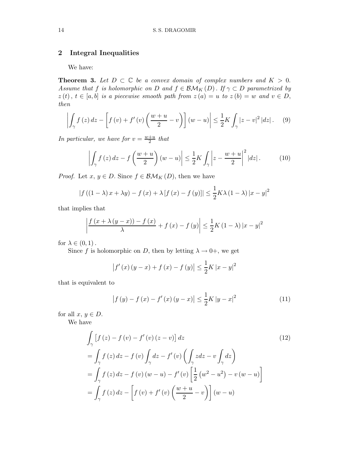## 2 Integral Inequalities

We have:

**Theorem 3.** Let  $D \subset \mathbb{C}$  be a convex domain of complex numbers and  $K > 0$ . Assume that f is holomorphic on D and  $f \in \mathcal{BM}_K(D)$ . If  $\gamma \subset D$  parametrized by  $z(t), t \in [a, b]$  is a piecewise smooth path from  $z(a) = u$  to  $z(b) = w$  and  $v \in D$ , then

$$
\left| \int_{\gamma} f(z) dz - \left[ f(v) + f'(v) \left( \frac{w+u}{2} - v \right) \right] (w-u) \right| \leq \frac{1}{2} K \int_{\gamma} |z-v|^2 |dz| \,. \tag{9}
$$

In particular, we have for  $v = \frac{w+u}{2}$  $rac{+u}{2}$  that

$$
\left| \int_{\gamma} f(z) dz - f\left(\frac{w+u}{2}\right)(w-u) \right| \leq \frac{1}{2} K \int_{\gamma} \left| z - \frac{w+u}{2} \right|^2 |dz| \,. \tag{10}
$$

*Proof.* Let  $x, y \in D$ . Since  $f \in \mathcal{BM}_K(D)$ , then we have

$$
|f((1 - \lambda)x + \lambda y) - f(x) + \lambda [f(x) - f(y)]| \le \frac{1}{2}K\lambda (1 - \lambda) |x - y|^2
$$

that implies that

$$
\left| \frac{f(x + \lambda(y - x)) - f(x)}{\lambda} + f(x) - f(y) \right| \le \frac{1}{2} K (1 - \lambda) |x - y|^2
$$

for  $\lambda \in (0,1)$ .

Since f is holomorphic on D, then by letting  $\lambda \to 0^+$ , we get

$$
|f'(x)(y-x) + f(x) - f(y)| \le \frac{1}{2}K|x-y|^2
$$

that is equivalent to

$$
\left| f\left(y\right) - f\left(x\right) - f'\left(x\right)\left(y - x\right) \right| \le \frac{1}{2} K \left| y - x \right|^2 \tag{11}
$$

for all  $x, y \in D$ .

We have

$$
\int_{\gamma} \left[ f(z) - f(v) - f'(v)(z - v) \right] dz
$$
\n
$$
= \int_{\gamma} f(z) dz - f(v) \int_{\gamma} dz - f'(v) \left( \int_{\gamma} z dz - v \int_{\gamma} dz \right)
$$
\n
$$
= \int_{\gamma} f(z) dz - f(v) (w - u) - f'(v) \left[ \frac{1}{2} (w^2 - u^2) - v (w - u) \right]
$$
\n
$$
= \int_{\gamma} f(z) dz - \left[ f(v) + f'(v) \left( \frac{w + u}{2} - v \right) \right] (w - u)
$$
\n(12)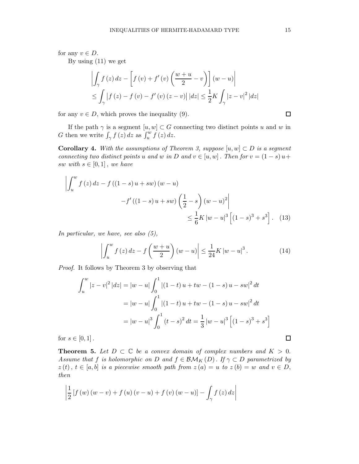for any  $v \in D$ .

By using (11) we get

$$
\left| \int_{\gamma} f(z) dz - \left[ f(v) + f'(v) \left( \frac{w+u}{2} - v \right) \right] (w-u) \right|
$$
  
\n
$$
\leq \int_{\gamma} |f(z) - f(v) - f'(v) (z-v) | |dz| \leq \frac{1}{2} K \int_{\gamma} |z - v|^2 |dz|
$$

for any  $v \in D$ , which proves the inequality (9).

If the path  $\gamma$  is a segment  $[u, w] \subset G$  connecting two distinct points u and w in G then we write  $\int_{\gamma} f(z) dz$  as  $\int_{u}^{w} f(z) dz$ .

**Corollary 4.** With the assumptions of Theorem 3, suppose  $[u, w] \subset D$  is a segment connecting two distinct points u and w in D and  $v \in [u, w]$ . Then for  $v = (1 - s) u +$ sw with  $s \in [0,1]$ , we have

$$
\left| \int_{u}^{w} f(z) dz - f((1 - s)u + sw) (w - u) \right|
$$
  
-  $f'((1 - s)u + sw) \left( \frac{1}{2} - s \right) (w - u)^{2} \left| \frac{1}{6} K |w - u|^{3} \left[ (1 - s)^{3} + s^{3} \right].$  (13)

In particular, we have, see also (5),

$$
\left| \int_{u}^{w} f(z) dz - f\left(\frac{w+u}{2}\right)(w-u) \right| \leq \frac{1}{24} K |w-u|^{3}.
$$
 (14)

Proof. It follows by Theorem 3 by observing that

$$
\int_{u}^{w} |z - v|^2 |dz| = |w - u| \int_{0}^{1} |(1 - t)u + tw - (1 - s)u - sw|^2 dt
$$
  

$$
= |w - u| \int_{0}^{1} |(1 - t)u + tw - (1 - s)u - sw|^2 dt
$$
  

$$
= |w - u|^3 \int_{0}^{1} (t - s)^2 dt = \frac{1}{3} |w - u|^3 [(1 - s)^3 + s^3]
$$
  

$$
\in [0, 1].
$$

for  $s \in [0, 1]$ .

**Theorem 5.** Let  $D \subset \mathbb{C}$  be a convex domain of complex numbers and  $K > 0$ . Assume that f is holomorphic on D and  $f \in \mathcal{BM}_K(D)$ . If  $\gamma \subset D$  parametrized by  $z(t)$ ,  $t \in [a, b]$  is a piecewise smooth path from  $z(a) = u$  to  $z(b) = w$  and  $v \in D$ , then

$$
\left|\frac{1}{2}\left[f\left(w\right)\left(w-v\right)+f\left(u\right)\left(v-u\right)+f\left(v\right)\left(w-u\right)\right]-\int_{\gamma}f\left(z\right)dz\right|
$$

 $\Box$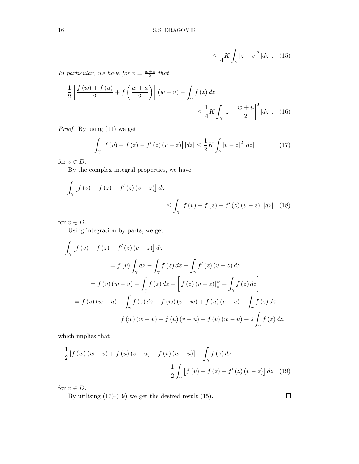$$
\leq \frac{1}{4}K \int_{\gamma} |z - v|^2 |dz| \qquad (15)
$$

In particular, we have for  $v = \frac{w+u}{2}$  that

$$
\left| \frac{1}{2} \left[ \frac{f(w) + f(u)}{2} + f\left(\frac{w+u}{2}\right) \right] (w-u) - \int_{\gamma} f(z) dz \right|
$$
  

$$
\leq \frac{1}{4} K \int_{\gamma} \left| z - \frac{w+u}{2} \right|^2 |dz|.
$$
 (16)

Proof. By using (11) we get

$$
\int_{\gamma} |f(v) - f(z) - f'(z)(v - z)| |dz| \leq \frac{1}{2} K \int_{\gamma} |v - z|^2 |dz|
$$
 (17)

for  $v \in D$ .

By the complex integral properties, we have

$$
\left| \int_{\gamma} \left[ f(v) - f(z) - f'(z)(v - z) \right] dz \right| \le \int_{\gamma} \left| f(v) - f(z) - f'(z)(v - z) \right| |dz| \tag{18}
$$

for  $v \in D$ .

Using integration by parts, we get

$$
\int_{\gamma} [f(v) - f(z) - f'(z) (v - z)] dz
$$
\n
$$
= f(v) \int_{\gamma} dz - \int_{\gamma} f(z) dz - \int_{\gamma} f'(z) (v - z) dz
$$
\n
$$
= f(v) (w - u) - \int_{\gamma} f(z) dz - \left[ f(z) (v - z) \Big|_{u}^{w} + \int_{\gamma} f(z) dz \right]
$$
\n
$$
= f(v) (w - u) - \int_{\gamma} f(z) dz - f(w) (v - w) + f(u) (v - u) - \int_{\gamma} f(z) dz
$$
\n
$$
= f(w) (w - v) + f(u) (v - u) + f(v) (w - u) - 2 \int_{\gamma} f(z) dz,
$$

which implies that

$$
\frac{1}{2}[f(w)(w-v) + f(u)(v-u) + f(v)(w-u)] - \int_{\gamma} f(z) dz
$$
  
= 
$$
\frac{1}{2} \int_{\gamma} [f(v) - f(z) - f'(z)(v-z)] dz
$$
 (19)

for  $v \in D$ .

By utilising (17)-(19) we get the desired result (15).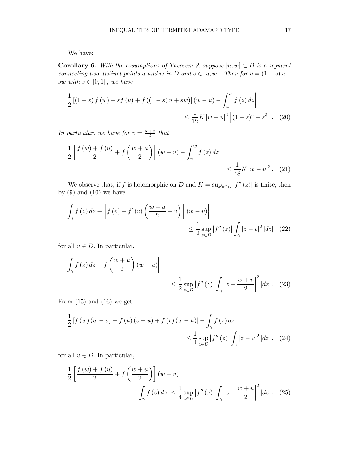We have:

**Corollary 6.** With the assumptions of Theorem 3, suppose  $[u, w] \subset D$  is a segment connecting two distinct points u and w in D and  $v \in [u, w]$ . Then for  $v = (1 - s) u +$ sw with  $s \in [0,1]$ , we have

$$
\left| \frac{1}{2} \left[ (1-s) f(w) + sf(w) + f((1-s) u + sw) \right] (w - u) - \int_{u}^{w} f(z) dz \right|
$$
  

$$
\leq \frac{1}{12} K |w - u|^3 \left[ (1-s)^3 + s^3 \right]. \tag{20}
$$

In particular, we have for  $v = \frac{w+u}{2}$  that

$$
\left| \frac{1}{2} \left[ \frac{f(w) + f(u)}{2} + f\left(\frac{w+u}{2}\right) \right] (w-u) - \int_{u}^{w} f(z) dz \right| \le \frac{1}{48} K |w-u|^3. \tag{21}
$$

We observe that, if f is holomorphic on D and  $K = \sup_{z \in D} |f''(z)|$  is finite, then by  $(9)$  and  $(10)$  we have

$$
\left| \int_{\gamma} f(z) dz - \left[ f(v) + f'(v) \left( \frac{w+u}{2} - v \right) \right] (w-u) \right|
$$
  

$$
\leq \frac{1}{2} \sup_{z \in D} |f''(z)| \int_{\gamma} |z-v|^2 |dz| \quad (22)
$$

for all  $v \in D$ . In particular,

$$
\left| \int_{\gamma} f(z) dz - f\left(\frac{w+u}{2}\right)(w-u) \right| \le \frac{1}{2} \sup_{z \in D} |f''(z)| \int_{\gamma} |z - \frac{w+u}{2}|^2 |dz|.
$$
 (23)

From  $(15)$  and  $(16)$  we get

$$
\left| \frac{1}{2} \left[ f(w) (w - v) + f(u) (v - u) + f(v) (w - u) \right] - \int_{\gamma} f(z) dz \right|
$$
  

$$
\leq \frac{1}{4} \sup_{z \in D} |f''(z)| \int_{\gamma} |z - v|^2 |dz|.
$$
 (24)

for all  $v \in D$ . In particular,

$$
\left|\frac{1}{2}\left[\frac{f(w)+f(u)}{2}+f\left(\frac{w+u}{2}\right)\right](w-u)\right|
$$

$$
-\int_{\gamma} f(z) dz \left|\leq \frac{1}{4} \sup_{z\in D} |f''(z)| \int_{\gamma} \left|z - \frac{w+u}{2}\right|^2 |dz|.
$$
 (25)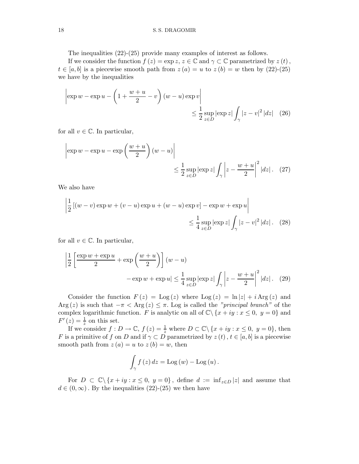The inequalities (22)-(25) provide many examples of interest as follows.

If we consider the function  $f(z) = \exp z$ ,  $z \in \mathbb{C}$  and  $\gamma \subset \mathbb{C}$  parametrized by  $z(t)$ ,  $t \in [a, b]$  is a piecewise smooth path from  $z(a) = u$  to  $z(b) = w$  then by (22)-(25) we have by the inequalities

$$
\left|\exp w - \exp u - \left(1 + \frac{w+u}{2} - v\right)(w-u)\exp v\right|
$$
  

$$
\leq \frac{1}{2}\sup_{z\in D}\left|\exp z\right| \int_{\gamma} |z-v|^2 |dz| \quad (26)
$$

for all  $v \in \mathbb{C}$ . In particular,

$$
\left| \exp w - \exp u - \exp \left( \frac{w+u}{2} \right) (w-u) \right|
$$
  

$$
\leq \frac{1}{2} \sup_{z \in D} \left| \exp z \right| \int_{\gamma} \left| z - \frac{w+u}{2} \right|^2 |dz| \quad (27)
$$

We also have

$$
\left| \frac{1}{2} \left[ (w - v) \exp w + (v - u) \exp u + (w - u) \exp v \right] - \exp w + \exp u \right|
$$
  

$$
\leq \frac{1}{4} \sup_{z \in D} |\exp z| \int_{\gamma} |z - v|^2 |dz|.
$$
 (28)

for all  $v \in \mathbb{C}$ . In particular,

$$
\left|\frac{1}{2}\left[\frac{\exp w + \exp u}{2} + \exp\left(\frac{w+u}{2}\right)\right](w-u) - \exp w + \exp u\right| \le \frac{1}{4} \sup_{z \in D} |\exp z| \int_{\gamma} \left|z - \frac{w+u}{2}\right|^2 |dz|.
$$
 (29)

Consider the function  $F(z) = \text{Log}(z)$  where  $\text{Log}(z) = \ln |z| + i \text{Arg}(z)$  and Arg (z) is such that  $-\pi <$  Arg (z)  $\leq \pi$ . Log is called the "principal branch" of the complex logarithmic function. F is analytic on all of  $\mathbb{C}\setminus\{x+iy : x \leq 0, y=0\}$  and  $F'(z) = \frac{1}{z}$  on this set.

If we consider  $f: D \to \mathbb{C}$ ,  $f(z) = \frac{1}{z}$  where  $D \subset \mathbb{C} \setminus \{x + iy : x \le 0, y = 0\}$ , then F is a primitive of f on D and if  $\gamma \subset D$  parametrized by  $z(t)$ ,  $t \in [a, b]$  is a piecewise smooth path from  $z(a) = u$  to  $z(b) = w$ , then

$$
\int_{\gamma} f(z) dz = \text{Log}(w) - \text{Log}(u).
$$

For  $D \subset \mathbb{C} \backslash \{x + iy : x \leq 0, y = 0\}$ , define  $d := \inf_{z \in D} |z|$  and assume that  $d \in (0,\infty)$ . By the inequalities  $(22)-(25)$  we then have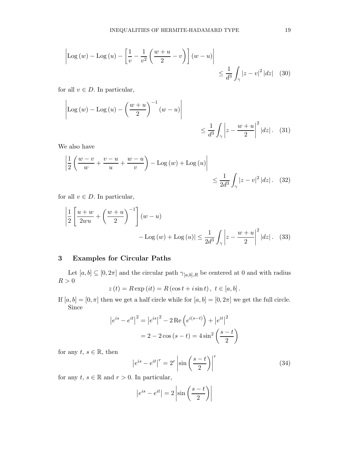$$
\left| \text{Log}\left(w\right) - \text{Log}\left(u\right) - \left[\frac{1}{v} - \frac{1}{v^2} \left(\frac{w+u}{2} - v\right)\right] \left(w - u\right) \right| \le \frac{1}{d^3} \int_{\gamma} |z - v|^2 |dz| \quad (30)
$$

for all  $v \in D$ . In particular,

$$
\left| \text{Log}(w) - \text{Log}(u) - \left(\frac{w+u}{2}\right)^{-1} (w-u) \right| \le \frac{1}{d^3} \int_{\gamma} \left| z - \frac{w+u}{2} \right|^2 |dz|.
$$
 (31)

We also have

$$
\left| \frac{1}{2} \left( \frac{w-v}{w} + \frac{v-u}{u} + \frac{w-u}{v} \right) - \text{Log}(w) + \text{Log}(u) \right| \le \frac{1}{2d^3} \int_{\gamma} |z-v|^2 |dz|.
$$
 (32)

for all  $v \in D$ . In particular,

$$
\left|\frac{1}{2}\left[\frac{u+w}{2wu}+\left(\frac{w+u}{2}\right)^{-1}\right](w-u)\right|
$$
  
- Log (w) + Log (u)|  $\leq \frac{1}{2d^3} \int_{\gamma} \left|z-\frac{w+u}{2}\right|^2 |dz|.$  (33)

## 3 Examples for Circular Paths

Let  $[a,b]\subseteq [0,2\pi]$  and the circular path  $\gamma_{[a,b],R}$  be centered at  $0$  and with radius  $R>0\,$ 

$$
z(t) = R \exp(it) = R(\cos t + i \sin t), t \in [a, b].
$$

If  $[a, b] = [0, \pi]$  then we get a half circle while for  $[a, b] = [0, 2\pi]$  we get the full circle. Since

$$
|e^{is} - e^{it}|^2 = |e^{is}|^2 - 2 \operatorname{Re} (e^{i(s-t)}) + |e^{it}|^2
$$

$$
= 2 - 2 \cos (s - t) = 4 \sin^2 \left(\frac{s - t}{2}\right)
$$

for any  $t, s \in \mathbb{R}$ , then

$$
\left|e^{is} - e^{it}\right|^r = 2^r \left|\sin\left(\frac{s-t}{2}\right)\right|^r \tag{34}
$$

for any  $t, s \in \mathbb{R}$  and  $r > 0$ . In particular,

$$
\left|e^{is} - e^{it}\right| = 2\left|\sin\left(\frac{s-t}{2}\right)\right|
$$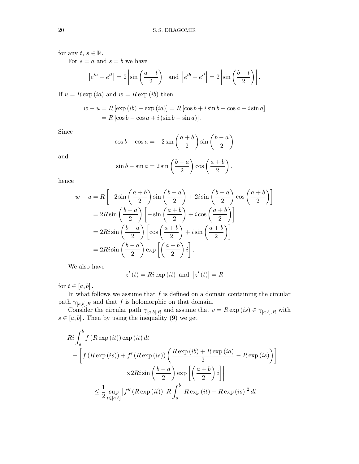## for any  $t, s \in \mathbb{R}$ .

For  $s = a$  and  $s = b$  we have

$$
|e^{ia} - e^{it}| = 2 \left| \sin \left( \frac{a-t}{2} \right) \right|
$$
 and  $|e^{ib} - e^{it}| = 2 \left| \sin \left( \frac{b-t}{2} \right) \right|$ .

If  $u = R \exp(ia)$  and  $w = R \exp(ib)$  then

$$
w - u = R [\exp (ib) - \exp (ia)] = R [\cos b + i \sin b - \cos a - i \sin a]
$$
  
= R [\cos b - \cos a + i (\sin b - \sin a)].

Since

$$
\cos b - \cos a = -2\sin\left(\frac{a+b}{2}\right)\sin\left(\frac{b-a}{2}\right)
$$

and

$$
\sin b - \sin a = 2\sin\left(\frac{b-a}{2}\right)\cos\left(\frac{a+b}{2}\right),\,
$$

hence

$$
w - u = R \left[ -2\sin\left(\frac{a+b}{2}\right)\sin\left(\frac{b-a}{2}\right) + 2i\sin\left(\frac{b-a}{2}\right)\cos\left(\frac{a+b}{2}\right) \right]
$$
  

$$
= 2R\sin\left(\frac{b-a}{2}\right) \left[ -\sin\left(\frac{a+b}{2}\right) + i\cos\left(\frac{a+b}{2}\right) \right]
$$
  

$$
= 2Ri\sin\left(\frac{b-a}{2}\right) \left[ \cos\left(\frac{a+b}{2}\right) + i\sin\left(\frac{a+b}{2}\right) \right]
$$
  

$$
= 2Ri\sin\left(\frac{b-a}{2}\right) \exp\left[\left(\frac{a+b}{2}\right)i\right].
$$

We also have

$$
z'(t) = Ri \exp{(it)} \text{ and } |z'(t)| = R
$$

for  $t \in [a, b]$ .

In what follows we assume that  $f$  is defined on a domain containing the circular path  $\gamma_{[a,b],R}$  and that f is holomorphic on that domain.

Consider the circular path  $\gamma_{[a,b],R}$  and assume that  $v = R \exp(is) \in \gamma_{[a,b],R}$  with  $s \in [a, b]$ . Then by using the inequality (9) we get

$$
\begin{aligned}\n\left| Ri \int_{a}^{b} f\left(R \exp\left(it\right)\right) \exp\left(it\right) dt \\
-\left[ f\left(R \exp\left(is\right)\right) + f'\left(R \exp\left(is\right)\right) \left(\frac{R \exp\left(ib) + R \exp\left(ia\right)}{2} - R \exp\left(is\right) \right) \right] \\
&\times 2 Ri \sin\left(\frac{b-a}{2}\right) \exp\left[\left(\frac{a+b}{2}\right) i\right] \\
&\leq \frac{1}{2} \sup_{t \in [a,b]} \left| f''\left(R \exp\left(it\right)\right) \right| R \int_{a}^{b} \left|R \exp\left(it\right) - R \exp\left(is\right)\right|^2 dt\n\end{aligned}
$$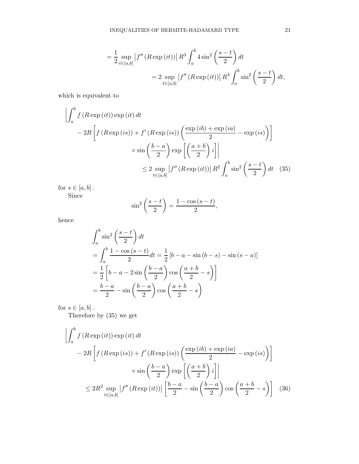$$
= \frac{1}{2} \sup_{t \in [a,b]} |f''(R \exp(it))| R^3 \int_a^b 4 \sin^2 \left(\frac{s-t}{2}\right) dt
$$
  

$$
= 2 \sup_{t \in [a,b]} |f''(R \exp(it))| R^3 \int_a^b \sin^2 \left(\frac{s-t}{2}\right) dt,
$$

which is equivalent to

$$
\left| \int_{a}^{b} f(R \exp(it)) \exp(it) dt \right|
$$
  
- 2R \left[ f(R \exp (is)) + f'(R \exp (is)) \left( \frac{\exp (ib) + \exp (ia)}{2} - \exp (is) \right) \right]   
× sin \left( \frac{b-a}{2} \right) \exp \left[ \left( \frac{a+b}{2} \right) i \right]   
≤ 2 \sup\_{t \in [a,b]} |f''(R \exp (it))| R^{2} \int\_{a}^{b} \sin^{2} \left( \frac{s-t}{2} \right) dt \quad (35)

for  $s\in [a,b]$  . Since

$$
\sin^2\left(\frac{s-t}{2}\right) = \frac{1-\cos(s-t)}{2},
$$

hence

$$
\int_{a}^{b} \sin^{2}\left(\frac{s-t}{2}\right) dt
$$
\n
$$
= \int_{a}^{b} \frac{1 - \cos(s-t)}{2} dt = \frac{1}{2} \left[b - a - \sin(b-s) - \sin(s-a)\right]
$$
\n
$$
= \frac{1}{2} \left[b - a - 2\sin\left(\frac{b-a}{2}\right)\cos\left(\frac{a+b}{2} - s\right)\right]
$$
\n
$$
= \frac{b-a}{2} - \sin\left(\frac{b-a}{2}\right)\cos\left(\frac{a+b}{2} - s\right)
$$

for  $s \in [a, b]$ .

Therefore by (35) we get

$$
\left| \int_{a}^{b} f(R \exp(it)) \exp(it) dt \right|
$$
  
- 2R \left[ f(R \exp(is)) + f'(R \exp(is)) \left( \frac{\exp ib) + \exp(ia)}{2} - \exp(is) \right) \right]   
× sin \left( \frac{b-a}{2} \right) \exp\left[ \left( \frac{a+b}{2} \right) i \right]   
≤ 2R^{2} \sup\_{t \in [a,b]} |f''(R \exp(it))| \left[ \frac{b-a}{2} - \sin\left( \frac{b-a}{2} \right) \cos\left( \frac{a+b}{2} - s \right) \right] (36)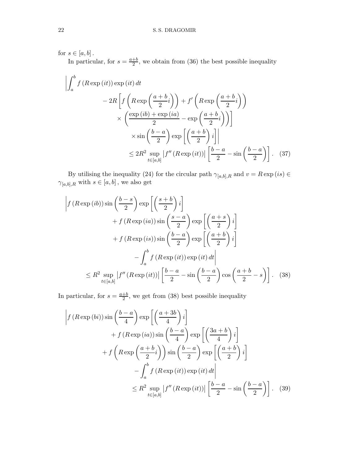for  $s\in [a,b]$  .

In particular, for  $s = \frac{a+b}{2}$  $\frac{+b}{2}$ , we obtain from (36) the best possible inequality

$$
\left| \int_{a}^{b} f(R \exp(it)) \exp(it) dt \right|
$$
  
- 2R \left[ f\left(R \exp\left(\frac{a+b}{2}i\right)\right) + f'\left(R \exp\left(\frac{a+b}{2}i\right)\right) \right]   
 \times \left(\frac{\exp(it) + \exp(it)}{2} - \exp\left(\frac{a+b}{2}i\right) \right] \right]   
 \times \sin\left(\frac{b-a}{2}\right) \exp\left[\left(\frac{a+b}{2}\right)i\right]   
 \le 2R^{2} \sup\_{t \in [a,b]} |f''(R \exp(it))| \left[\frac{b-a}{2} - \sin\left(\frac{b-a}{2}\right)\right]. (37)

By utilising the inequality (24) for the circular path  $\gamma_{[a,b],R}$  and  $v = R \exp(is) \in$  $\gamma_{[a,b],R}$  with  $s \in [a,b]$ , we also get

$$
\left| f (R \exp (ib)) \sin \left( \frac{b-s}{2} \right) \exp \left[ \left( \frac{s+b}{2} \right) i \right] \right|
$$
  
+  $f (R \exp (ia)) \sin \left( \frac{s-a}{2} \right) \exp \left[ \left( \frac{a+s}{2} \right) i \right]$   
+  $f (R \exp (is)) \sin \left( \frac{b-a}{2} \right) \exp \left[ \left( \frac{a+b}{2} \right) i \right]$   
-  $\int_a^b f (R \exp (it)) \exp (it) dt \Big|$   
 $\leq R^2 \sup_{t \in [a,b]} |f'' (R \exp (it))| \left[ \frac{b-a}{2} - \sin \left( \frac{b-a}{2} \right) \cos \left( \frac{a+b}{2} - s \right) \right].$  (38)

In particular, for  $s = \frac{a+b}{2}$  $\frac{+b}{2}$ , we get from (38) best possible inequality

$$
\left| f (R \exp{(bi)}) \sin\left(\frac{b-a}{4}\right) \exp\left[\left(\frac{a+3b}{4}\right)i\right] \right|
$$
  
+  $f (R \exp{(ia)}) \sin\left(\frac{b-a}{4}\right) \exp\left[\left(\frac{3a+b}{4}\right)i\right]$   
+  $f \left(R \exp\left(\frac{a+b}{2}i\right)\right) \sin\left(\frac{b-a}{2}\right) \exp\left[\left(\frac{a+b}{2}\right)i\right]$   
-  $\int_a^b f (R \exp{(it)}) \exp{(it)} dt \right|$   
 $\leq R^2 \sup_{t \in [a,b]} |f'' (R \exp{(it)})| \left[\frac{b-a}{2} - \sin\left(\frac{b-a}{2}\right)\right].$  (39)